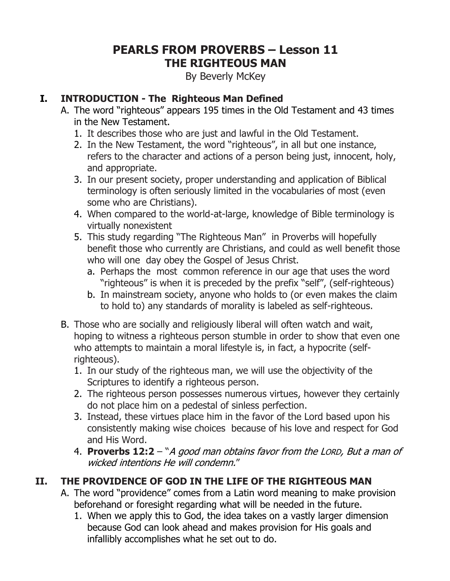# **PEARLS FROM PROVERBS – Lesson 11 THE RIGHTEOUS MAN**

By Beverly McKey

#### **I. INTRODUCTION - The Righteous Man Defined**

- A. The word "righteous" appears 195 times in the Old Testament and 43 times in the New Testament.
	- 1. It describes those who are just and lawful in the Old Testament.
	- 2. In the New Testament, the word "righteous", in all but one instance, refers to the character and actions of a person being just, innocent, holy, and appropriate.
	- 3. In our present society, proper understanding and application of Biblical terminology is often seriously limited in the vocabularies of most (even some who are Christians).
	- 4. When compared to the world-at-large, knowledge of Bible terminology is virtually nonexistent
	- 5. This study regarding "The Righteous Man" in Proverbs will hopefully benefit those who currently are Christians, and could as well benefit those who will one day obey the Gospel of Jesus Christ.
		- a. Perhaps the most common reference in our age that uses the word "righteous" is when it is preceded by the prefix "self", (self-righteous)
		- b. In mainstream society, anyone who holds to (or even makes the claim to hold to) any standards of morality is labeled as self-righteous.
- B. Those who are socially and religiously liberal will often watch and wait, hoping to witness a righteous person stumble in order to show that even one who attempts to maintain a moral lifestyle is, in fact, a hypocrite (selfrighteous).
	- 1. In our study of the righteous man, we will use the objectivity of the Scriptures to identify a righteous person.
	- 2. The righteous person possesses numerous virtues, however they certainly do not place him on a pedestal of sinless perfection.
	- 3. Instead, these virtues place him in the favor of the Lord based upon his consistently making wise choices because of his love and respect for God and His Word.
	- 4. **Proverbs 12:2**  "A good man obtains favor from the LORD, But a man of wicked intentions He will condemn."

### **II. THE PROVIDENCE OF GOD IN THE LIFE OF THE RIGHTEOUS MAN**

- A. The word "providence" comes from a Latin word meaning to make provision beforehand or foresight regarding what will be needed in the future.
	- 1. When we apply this to God, the idea takes on a vastly larger dimension because God can look ahead and makes provision for His goals and infallibly accomplishes what he set out to do.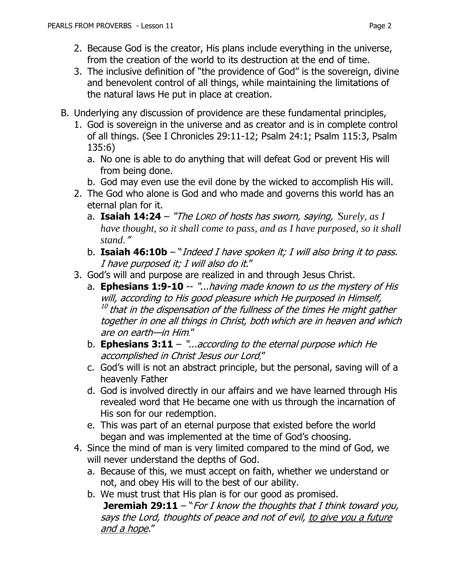- 2. Because God is the creator, His plans include everything in the universe, from the creation of the world to its destruction at the end of time.
- 3. The inclusive definition of "the providence of God" is the sovereign, divine and benevolent control of all things, while maintaining the limitations of the natural laws He put in place at creation.
- B. Underlying any discussion of providence are these fundamental principles,
	- 1. God is sovereign in the universe and as creator and is in complete control of all things. (See I Chronicles 29:11-12; Psalm 24:1; Psalm 115:3, Psalm 135:6)
		- a. No one is able to do anything that will defeat God or prevent His will from being done.
		- b. God may even use the evil done by the wicked to accomplish His will.
	- 2. The God who alone is God and who made and governs this world has an eternal plan for it.
		- a. **Isaiah 14:24** "The LORD of hosts has sworn, saying, '*Surely, as I have thought, so it shall come to pass, and as I have purposed, so it shall stand*."
		- b. **Isaiah 46:10b** "Indeed I have spoken it; I will also bring it to pass. I have purposed it; I will also do it."
	- 3. God's will and purpose are realized in and through Jesus Christ.
		- a. **Ephesians 1:9-10** -- "...having made known to us the mystery of His will, according to His good pleasure which He purposed in Himself,  $^{\rm 10}$  that in the dispensation of the fullness of the times He might gather together in one all things in Christ, both which are in heaven and which are on earth—in Him."
		- b. **Ephesians 3:11** "...according to the eternal purpose which He accomplished in Christ Jesus our Lord,"
		- c. God's will is not an abstract principle, but the personal, saving will of a heavenly Father
		- d. God is involved directly in our affairs and we have learned through His revealed word that He became one with us through the incarnation of His son for our redemption.
		- e. This was part of an eternal purpose that existed before the world began and was implemented at the time of God's choosing.
	- 4. Since the mind of man is very limited compared to the mind of God, we will never understand the depths of God.
		- a. Because of this, we must accept on faith, whether we understand or not, and obey His will to the best of our ability.
		- b. We must trust that His plan is for our good as promised.

**Jeremiah 29:11** – "For I know the thoughts that I think toward you, says the Lord, thoughts of peace and not of evil, to give you a future and a hope."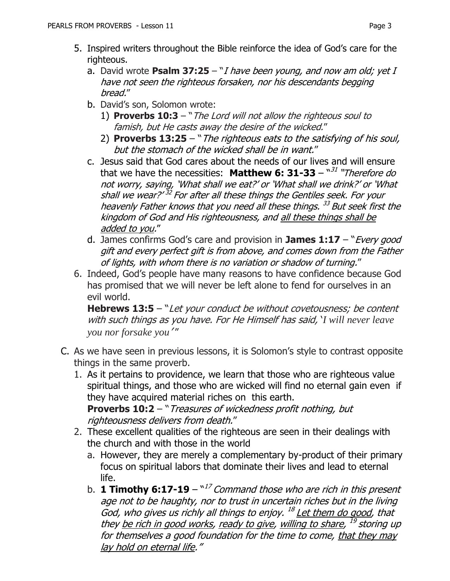- 5. Inspired writers throughout the Bible reinforce the idea of God's care for the righteous.
	- a. David wrote **Psalm 37:25**  "I have been young, and now am old; yet I have not seen the righteous forsaken, nor his descendants begging bread."
	- b. David's son, Solomon wrote:
		- 1) **Proverbs 10:3**  "The Lord will not allow the righteous soul to famish, but He casts away the desire of the wicked."
		- 2) **Proverbs 13:25**  "The righteous eats to the satisfying of his soul, but the stomach of the wicked shall be in want."
	- c. Jesus said that God cares about the needs of our lives and will ensure that we have the necessities: **Matthew 6: 31-33** – "<sup>31</sup> "Therefore do not worry, saying, 'What shall we eat?' or 'What shall we drink?' or 'What shall we wear?'<sup>32</sup> For after all these things the Gentiles seek. For your heavenly Father knows that you need all these things. <sup>33</sup> But seek first the kingdom of God and His righteousness, and all these things shall be added to you."
	- d. James confirms God's care and provision in **James 1:17**  "Every good gift and every perfect gift is from above, and comes down from the Father of lights, with whom there is no variation or shadow of turning."
- 6. Indeed, God's people have many reasons to have confidence because God has promised that we will never be left alone to fend for ourselves in an evil world.

**Hebrews 13:5** – "Let your conduct be without covetousness; be content with such things as you have. For He Himself has said, '*I will never leave you nor forsake you*' "

- C. As we have seen in previous lessons, it is Solomon's style to contrast opposite things in the same proverb.
	- 1. As it pertains to providence, we learn that those who are righteous value spiritual things, and those who are wicked will find no eternal gain even if they have acquired material riches on this earth. **Proverbs 10:2** – "Treasures of wickedness profit nothing, but

righteousness delivers from death."

- 2. These excellent qualities of the righteous are seen in their dealings with the church and with those in the world
	- a. However, they are merely a complementary by-product of their primary focus on spiritual labors that dominate their lives and lead to eternal life.
	- b. **1 Timothy 6:17-19**  $^{\text{N}I7}$  Command those who are rich in this present age not to be haughty, nor to trust in uncertain riches but in the living God, who gives us richly all things to enjoy. <sup>18</sup> Let them do good, that they <u>be rich in good works</u>, <u>ready to give</u>, willing to share, <sup>19</sup> storing up for themselves a good foundation for the time to come, that they may lay hold on eternal life."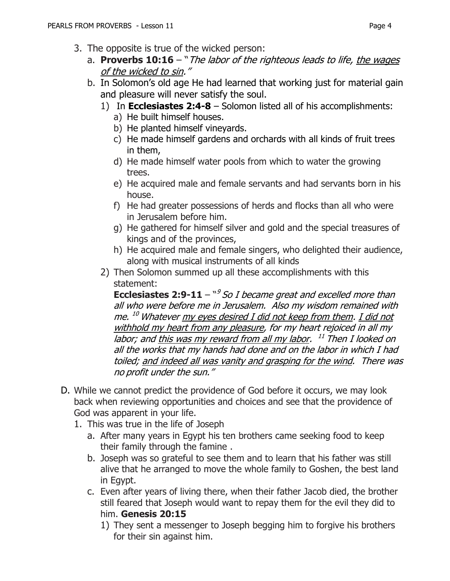- 3. The opposite is true of the wicked person:
	- a. **Proverbs 10:16** "The labor of the righteous leads to life, the wages of the wicked to sin."
	- b. In Solomon's old age He had learned that working just for material gain and pleasure will never satisfy the soul.
		- 1) In **Ecclesiastes 2:4-8** Solomon listed all of his accomplishments:
			- a) He built himself houses.
			- b) He planted himself vineyards.
			- c) He made himself gardens and orchards with all kinds of fruit trees in them,
			- d) He made himself water pools from which to water the growing trees.
			- e) He acquired male and female servants and had servants born in his house.
			- f) He had greater possessions of herds and flocks than all who were in Jerusalem before him.
			- g) He gathered for himself silver and gold and the special treasures of kings and of the provinces,
			- h) He acquired male and female singers, who delighted their audience, along with musical instruments of all kinds
		- 2) Then Solomon summed up all these accomplishments with this statement:

**Ecclesiastes 2:9-11** – <sup>"9</sup> So I became great and excelled more than all who were before me in Jerusalem. Also my wisdom remained with me. <sup>10</sup> Whatever <u>my eyes desired I did not keep from them</u>. <u>I did not</u> withhold my heart from any pleasure, for my heart rejoiced in all my labor; and <u>this was my reward from all my labor</u>. <sup>11</sup> Then I looked on all the works that my hands had done and on the labor in which I had toiled; and indeed all was vanity and grasping for the wind. There was no profit under the sun."

- D. While we cannot predict the providence of God before it occurs, we may look back when reviewing opportunities and choices and see that the providence of God was apparent in your life.
	- 1. This was true in the life of Joseph
		- a. After many years in Egypt his ten brothers came seeking food to keep their family through the famine .
		- b. Joseph was so grateful to see them and to learn that his father was still alive that he arranged to move the whole family to Goshen, the best land in Egypt.
		- c. Even after years of living there, when their father Jacob died, the brother still feared that Joseph would want to repay them for the evil they did to him. **Genesis 20:15**
			- 1) They sent a messenger to Joseph begging him to forgive his brothers for their sin against him.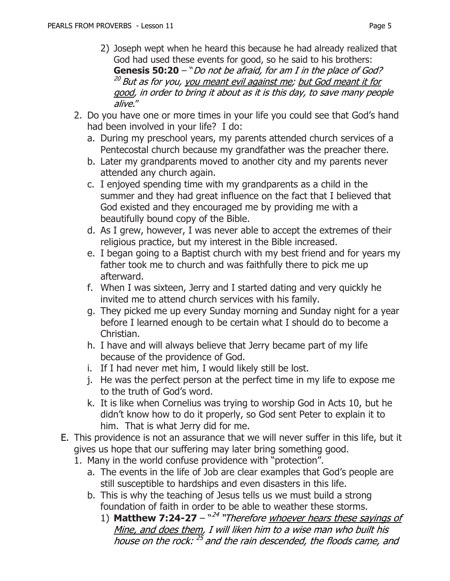- 2) Joseph wept when he heard this because he had already realized that God had used these events for good, so he said to his brothers: **Genesis 50:20** – "Do not be afraid, for am I in the place of God? <sup>20</sup> But as for you, you meant evil against me; but God meant it for good, in order to bring it about as it is this day, to save many people alive."
- 2. Do you have one or more times in your life you could see that God's hand had been involved in your life? I do:
	- a. During my preschool years, my parents attended church services of a Pentecostal church because my grandfather was the preacher there.
	- b. Later my grandparents moved to another city and my parents never attended any church again.
	- c. I enjoyed spending time with my grandparents as a child in the summer and they had great influence on the fact that I believed that God existed and they encouraged me by providing me with a beautifully bound copy of the Bible.
	- d. As I grew, however, I was never able to accept the extremes of their religious practice, but my interest in the Bible increased.
	- e. I began going to a Baptist church with my best friend and for years my father took me to church and was faithfully there to pick me up afterward.
	- f. When I was sixteen, Jerry and I started dating and very quickly he invited me to attend church services with his family.
	- g. They picked me up every Sunday morning and Sunday night for a year before I learned enough to be certain what I should do to become a Christian.
	- h. I have and will always believe that Jerry became part of my life because of the providence of God.
	- i. If I had never met him, I would likely still be lost.
	- j. He was the perfect person at the perfect time in my life to expose me to the truth of God's word.
	- k. It is like when Cornelius was trying to worship God in Acts 10, but he didn't know how to do it properly, so God sent Peter to explain it to him. That is what Jerry did for me.
- E. This providence is not an assurance that we will never suffer in this life, but it gives us hope that our suffering may later bring something good.
	- 1. Many in the world confuse providence with "protection".
		- a. The events in the life of Job are clear examples that God's people are still susceptible to hardships and even disasters in this life.
		- b. This is why the teaching of Jesus tells us we must build a strong foundation of faith in order to be able to weather these storms.
			- 1) **Matthew 7:24-27** "<sup>24</sup> "Therefore whoever hears these sayings of Mine, and does them, I will liken him to a wise man who built his house on the rock: <sup>25</sup> and the rain descended, the floods came, and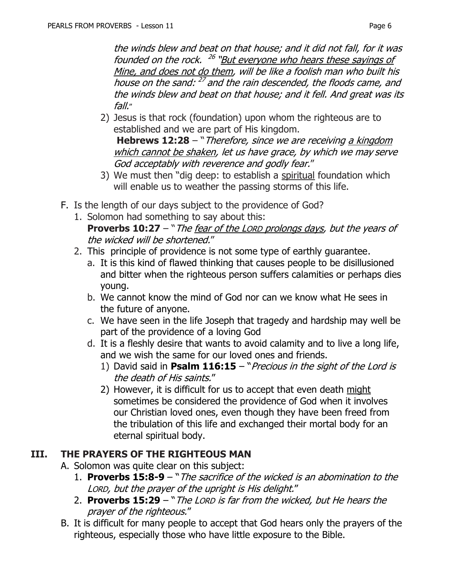the winds blew and beat on that house; and it did not fall, for it was founded on the rock. <sup>26</sup> "But everyone who hears these sayings of Mine, and does not do them, will be like a foolish man who built his house on the sand: <sup>27</sup> and the rain descended, the floods came, and the winds blew and beat on that house; and it fell. And great was its fall."

2) Jesus is that rock (foundation) upon whom the righteous are to established and we are part of His kingdom. **Hebrews 12:28** – "Therefore, since we are receiving a kingdom

which cannot be shaken, let us have grace, by which we may serve God acceptably with reverence and godly fear."

- 3) We must then "dig deep: to establish a spiritual foundation which will enable us to weather the passing storms of this life.
- F. Is the length of our days subject to the providence of God?
	- 1. Solomon had something to say about this: **Proverbs 10:27** – "The fear of the LORD prolongs days, but the years of the wicked will be shortened."
	- 2. This principle of providence is not some type of earthly guarantee.
		- a. It is this kind of flawed thinking that causes people to be disillusioned and bitter when the righteous person suffers calamities or perhaps dies young.
		- b. We cannot know the mind of God nor can we know what He sees in the future of anyone.
		- c. We have seen in the life Joseph that tragedy and hardship may well be part of the providence of a loving God
		- d. It is a fleshly desire that wants to avoid calamity and to live a long life, and we wish the same for our loved ones and friends.
			- 1) David said in **Psalm 116:15** "Precious in the sight of the Lord is the death of His saints."
			- 2) However, it is difficult for us to accept that even death might sometimes be considered the providence of God when it involves our Christian loved ones, even though they have been freed from the tribulation of this life and exchanged their mortal body for an eternal spiritual body.

### **III. THE PRAYERS OF THE RIGHTEOUS MAN**

- A. Solomon was quite clear on this subject:
	- 1. **Proverbs 15:8-9**  "The sacrifice of the wicked is an abomination to the LORD, but the prayer of the upright is His delight."
	- 2. **Proverbs 15:29**  "The LORD is far from the wicked, but He hears the prayer of the righteous."
- B. It is difficult for many people to accept that God hears only the prayers of the righteous, especially those who have little exposure to the Bible.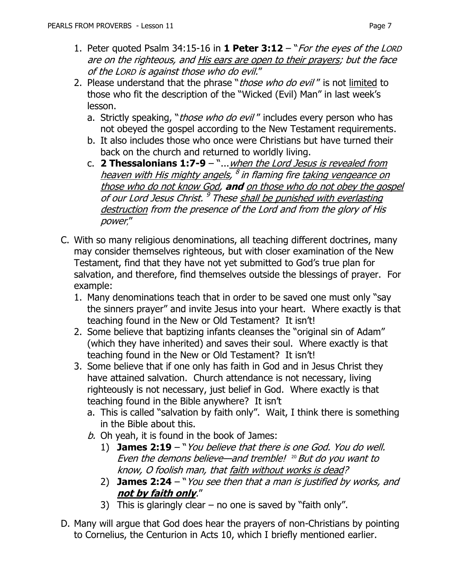- 1. Peter quoted Psalm 34:15-16 in **1 Peter 3:12**  "For the eyes of the LORD are on the righteous, and His ears are open to their prayers; but the face of the LORD is against those who do evil."
- 2. Please understand that the phrase "*those who do evil"* is not limited to those who fit the description of the "Wicked (Evil) Man" in last week's lesson.
	- a. Strictly speaking, "*those who do evil"* includes every person who has not obeyed the gospel according to the New Testament requirements.
	- b. It also includes those who once were Christians but have turned their back on the church and returned to worldly living.
	- c. **2 Thessalonians 1:7-9**  "...when the Lord Jesus is revealed from <u>heaven with His mighty angels</u>, <sup>8</sup> in flaming fire <u>taking vengeance on</u> those who do not know God, **and** on those who do not obey the gospel of our Lord Jesus Christ. <sup>9</sup> These <u>shall be punished with everlasting</u> destruction from the presence of the Lord and from the glory of His power,"
- C. With so many religious denominations, all teaching different doctrines, many may consider themselves righteous, but with closer examination of the New Testament, find that they have not yet submitted to God's true plan for salvation, and therefore, find themselves outside the blessings of prayer. For example:
	- 1. Many denominations teach that in order to be saved one must only "say the sinners prayer" and invite Jesus into your heart. Where exactly is that teaching found in the New or Old Testament? It isn't!
	- 2. Some believe that baptizing infants cleanses the "original sin of Adam" (which they have inherited) and saves their soul. Where exactly is that teaching found in the New or Old Testament? It isn't!
	- 3. Some believe that if one only has faith in God and in Jesus Christ they have attained salvation. Church attendance is not necessary, living righteously is not necessary, just belief in God. Where exactly is that teaching found in the Bible anywhere? It isn't
		- a. This is called "salvation by faith only". Wait, I think there is something in the Bible about this.
		- $b.$  Oh yeah, it is found in the book of James:
			- 1) **James 2:19**  "You believe that there is one God. You do well. Even the demons believe—and tremble!  $^{20}$  But do you want to know, O foolish man, that faith without works is dead?
			- 2) **James 2:24**  "You see then that a man is justified by works, and **not by faith only**."
			- 3) This is glaringly clear  $-$  no one is saved by "faith only".
- D. Many will argue that God does hear the prayers of non-Christians by pointing to Cornelius, the Centurion in Acts 10, which I briefly mentioned earlier.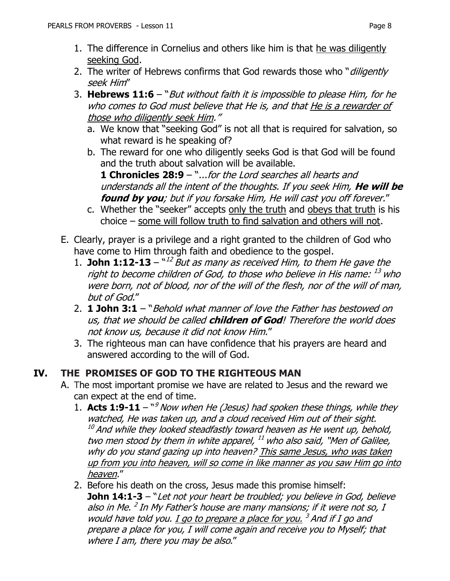- 1. The difference in Cornelius and others like him is that he was diligently seeking God.
- 2. The writer of Hebrews confirms that God rewards those who "diligently seek Him"
- 3. **Hebrews 11:6**  "But without faith it is impossible to please Him, for he who comes to God must believe that He is, and that He is a rewarder of those who diligently seek Him."
	- a. We know that "seeking God" is not all that is required for salvation, so what reward is he speaking of?
	- b. The reward for one who diligently seeks God is that God will be found and the truth about salvation will be available.

**1 Chronicles 28:9** – "...for the Lord searches all hearts and understands all the intent of the thoughts. If you seek Him, **He will be found by you**; but if you forsake Him, He will cast you off forever."

- c. Whether the "seeker" accepts only the truth and obeys that truth is his choice – some will follow truth to find salvation and others will not.
- E. Clearly, prayer is a privilege and a right granted to the children of God who have come to Him through faith and obedience to the gospel.
	- 1. **John 1:12-13**  $12$ <sup>N/2</sup> But as many as received Him, to them He gave the right to become children of God, to those who believe in His name:  $^{\rm 13}$  who were born, not of blood, nor of the will of the flesh, nor of the will of man, but of God."
	- 2. **1 John 3:1** "Behold what manner of love the Father has bestowed on us, that we should be called **children of God**! Therefore the world does not know us, because it did not know Him."
	- 3. The righteous man can have confidence that his prayers are heard and answered according to the will of God.

### **IV. THE PROMISES OF GOD TO THE RIGHTEOUS MAN**

- A. The most important promise we have are related to Jesus and the reward we can expect at the end of time.
	- 1. Acts 1:9-11 <sup>ng</sup> Now when He (Jesus) had spoken these things, while they watched, He was taken up, and a cloud received Him out of their sight.  $10<sup>10</sup>$  And while they looked steadfastly toward heaven as He went up, behold, two men stood by them in white apparel, <sup>11</sup> who also said, "Men of Galilee, why do you stand gazing up into heaven? This same Jesus, who was taken up from you into heaven, will so come in like manner as you saw Him go into heaven."
	- 2. Before his death on the cross, Jesus made this promise himself: **John 14:1-3** – "Let not your heart be troubled; you believe in God, believe also in Me. <sup>2</sup> In My Father's house are many mansions; if it were not so, I would have told you. <u>I go to prepare a place for you.</u> <sup>3</sup> And if I go and prepare a place for you, I will come again and receive you to Myself; that where I am, there you may be also."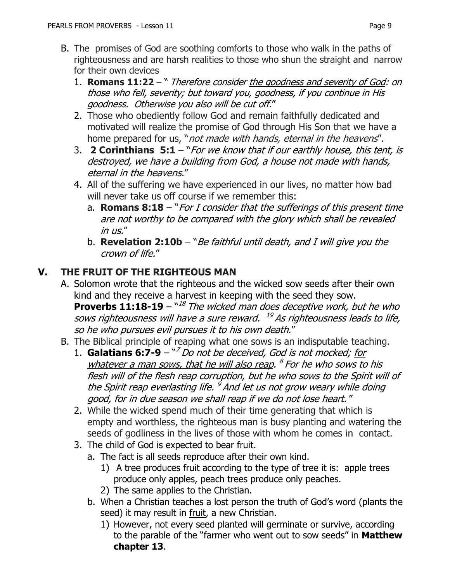- B. The promises of God are soothing comforts to those who walk in the paths of righteousness and are harsh realities to those who shun the straight and narrow for their own devices
	- 1. **Romans 11:22**  " Therefore consider the goodness and severity of God: on those who fell, severity; but toward you, goodness, if you continue in His goodness. Otherwise you also will be cut off."
	- 2. Those who obediently follow God and remain faithfully dedicated and motivated will realize the promise of God through His Son that we have a home prepared for us, "not made with hands, eternal in the heavens".
	- 3. **2 Corinthians 5:1** "For we know that if our earthly house, this tent, is destroyed, we have a building from God, a house not made with hands, eternal in the heavens."
	- 4. All of the suffering we have experienced in our lives, no matter how bad will never take us off course if we remember this:
		- a. **Romans 8:18** "For I consider that the sufferings of this present time are not worthy to be compared with the glory which shall be revealed in us."
		- b. **Revelation 2:10b**  "Be faithful until death, and I will give you the crown of life."

#### **V. THE FRUIT OF THE RIGHTEOUS MAN**

- A. Solomon wrote that the righteous and the wicked sow seeds after their own kind and they receive a harvest in keeping with the seed they sow. **Proverbs 11:18-19** – <sup>"18</sup> The wicked man does deceptive work, but he who sows righteousness will have a sure reward. <sup>19</sup> As righteousness leads to life, so he who pursues evil pursues it to his own death."
- B. The Biblical principle of reaping what one sows is an indisputable teaching.
	- 1. **Galatians 6:7-9** " <sup>7</sup> Do not be deceived, God is not mocked; for whatever a man sows, that he will also reap. <sup>8</sup> For he who sows to his flesh will of the flesh reap corruption, but he who sows to the Spirit will of the Spirit reap everlasting life. <sup>9</sup> And let us not grow weary while doing good, for in due season we shall reap if we do not lose heart. "
	- 2. While the wicked spend much of their time generating that which is empty and worthless, the righteous man is busy planting and watering the seeds of godliness in the lives of those with whom he comes in contact.
	- 3. The child of God is expected to bear fruit.
		- a. The fact is all seeds reproduce after their own kind.
			- 1) A tree produces fruit according to the type of tree it is: apple trees produce only apples, peach trees produce only peaches.
			- 2) The same applies to the Christian.
		- b. When a Christian teaches a lost person the truth of God's word (plants the seed) it may result in fruit, a new Christian.
			- 1) However, not every seed planted will germinate or survive, according to the parable of the "farmer who went out to sow seeds" in **Matthew chapter 13**.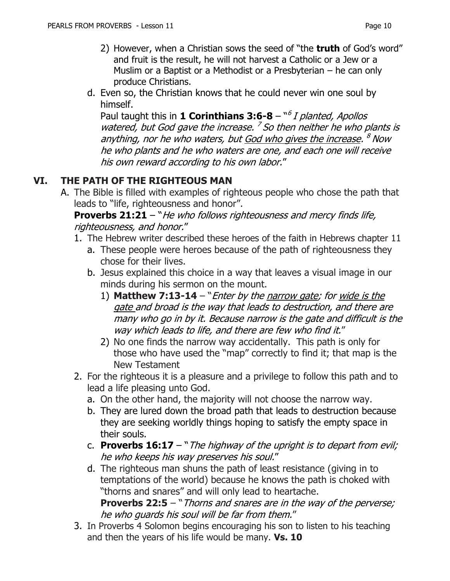- 2) However, when a Christian sows the seed of "the **truth** of God's word" and fruit is the result, he will not harvest a Catholic or a Jew or a Muslim or a Baptist or a Methodist or a Presbyterian – he can only produce Christians.
- d. Even so, the Christian knows that he could never win one soul by himself.

Paul taught this in 1 **Corinthians 3:6-8** – <sup>*n6</sup> I planted, Apollos*</sup> watered, but God gave the increase.  $<sup>7</sup>$  So then neither he who plants is</sup> anything, nor he who waters, but <u>God who gives the increase</u>. <sup>8</sup> Now he who plants and he who waters are one, and each one will receive his own reward according to his own labor."

### **VI. THE PATH OF THE RIGHTEOUS MAN**

A. The Bible is filled with examples of righteous people who chose the path that leads to "life, righteousness and honor".

**Proverbs 21:21** – "He who follows righteousness and mercy finds life, righteousness, and honor."

- 1. The Hebrew writer described these heroes of the faith in Hebrews chapter 11
	- a. These people were heroes because of the path of righteousness they chose for their lives.
	- b. Jesus explained this choice in a way that leaves a visual image in our minds during his sermon on the mount.
		- 1) **Matthew 7:13-14**  "Enter by the narrow gate; for wide is the gate and broad is the way that leads to destruction, and there are many who go in by it. Because narrow is the gate and difficult is the way which leads to life, and there are few who find it."
		- 2) No one finds the narrow way accidentally. This path is only for those who have used the "map" correctly to find it; that map is the New Testament
- 2. For the righteous it is a pleasure and a privilege to follow this path and to lead a life pleasing unto God.
	- a. On the other hand, the majority will not choose the narrow way.
	- b. They are lured down the broad path that leads to destruction because they are seeking worldly things hoping to satisfy the empty space in their souls.
	- c. **Proverbs 16:17**  "The highway of the upright is to depart from evil; he who keeps his way preserves his soul."
	- d. The righteous man shuns the path of least resistance (giving in to temptations of the world) because he knows the path is choked with "thorns and snares" and will only lead to heartache. **Proverbs 22:5** – "Thorns and snares are in the way of the perverse;

```
he who guards his soul will be far from them."
```
3. In Proverbs 4 Solomon begins encouraging his son to listen to his teaching and then the years of his life would be many. **Vs. 10**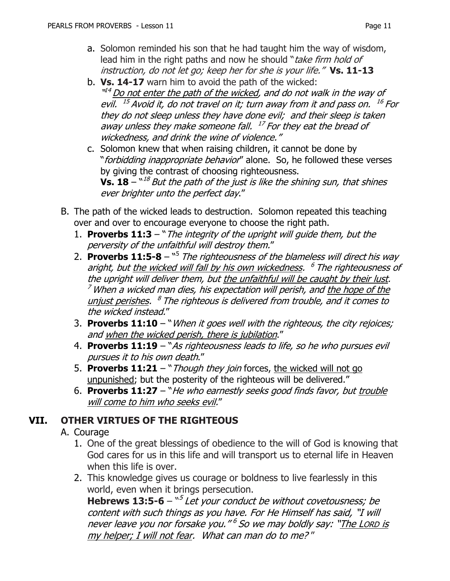- a. Solomon reminded his son that he had taught him the way of wisdom, lead him in the right paths and now he should "take firm hold of instruction, do not let go; keep her for she is your life." **Vs. 11-13**
- b. **Vs. 14-17** warn him to avoid the path of the wicked: "<sup>14</sup> Do not enter the path of the wicked, and do not walk in the way of evil. <sup>15</sup> Avoid it, do not travel on it; turn away from it and pass on. <sup>16</sup> For they do not sleep unless they have done evil; and their sleep is taken away unless they make someone fall. <sup>17</sup> For they eat the bread of wickedness, and drink the wine of violence."
- c. Solomon knew that when raising children, it cannot be done by "*forbidding inappropriate behavior*" alone. So, he followed these verses by giving the contrast of choosing righteousness. **Vs. 18** –  $^{\mathrm{v18}}$  But the path of the just is like the shining sun, that shines ever brighter unto the perfect day."
- B. The path of the wicked leads to destruction. Solomon repeated this teaching over and over to encourage everyone to choose the right path.
	- 1. **Proverbs 11:3**  "The integrity of the upright will guide them, but the perversity of the unfaithful will destroy them."
	- 2. **Proverbs 11:5-8** <sup>"5</sup> The righteousness of the blameless will direct his way aright, but <u>the wicked will fall by his own wickedness</u>. <sup>6</sup> The righteousness of the upright will deliver them, but the unfaithful will be caught by their lust.  $<sup>7</sup>$  When a wicked man dies, his expectation will perish, and the hope of the</sup> unjust perishes. <sup>8</sup> The righteous is delivered from trouble, and it comes to the wicked instead."
	- 3. **Proverbs 11:10**  "When it goes well with the righteous, the city rejoices; and when the wicked perish, there is jubilation."
	- 4. **Proverbs 11:19** "As righteousness leads to life, so he who pursues evil pursues it to his own death."
	- 5. **Proverbs 11:21** "Though they join forces, the wicked will not go unpunished; but the posterity of the righteous will be delivered."
	- 6. **Proverbs 11:27** "He who earnestly seeks good finds favor, but trouble will come to him who seeks evil."

### **VII. OTHER VIRTUES OF THE RIGHTEOUS**

#### A. Courage

- 1. One of the great blessings of obedience to the will of God is knowing that God cares for us in this life and will transport us to eternal life in Heaven when this life is over.
- 2. This knowledge gives us courage or boldness to live fearlessly in this world, even when it brings persecution.

**Hebrews 13:5-6** – "<sup>5</sup> Let your conduct be without covetousness; be content with such things as you have. For He Himself has said, "I will never leave you nor forsake you." <sup>6</sup> So we may boldly say: "<u>The Lorp is</u> my helper; I will not fear. What can man do to me? "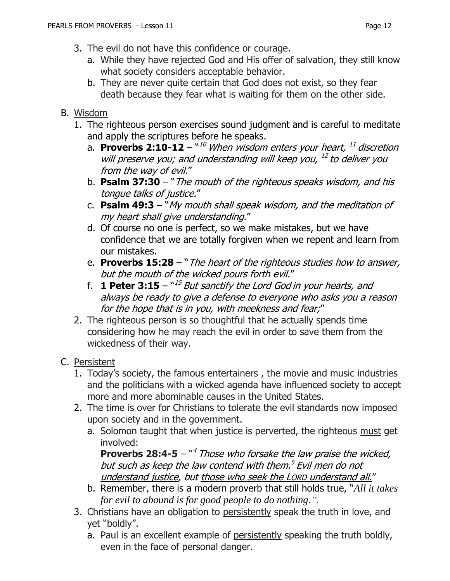- 3. The evil do not have this confidence or courage.
	- a. While they have rejected God and His offer of salvation, they still know what society considers acceptable behavior.
	- b. They are never quite certain that God does not exist, so they fear death because they fear what is waiting for them on the other side.

#### B. Wisdom

- 1. The righteous person exercises sound judgment and is careful to meditate and apply the scriptures before he speaks.
	- a. Proverbs 2:10-12 "<sup>10</sup> When wisdom enters your heart, <sup>11</sup> discretion will preserve you; and understanding will keep you, <sup>12</sup> to deliver you from the way of evil."
	- b. **Psalm 37:30**  "The mouth of the righteous speaks wisdom, and his tongue talks of justice."
	- c. **Psalm 49:3**  "My mouth shall speak wisdom, and the meditation of my heart shall give understanding."
	- d. Of course no one is perfect, so we make mistakes, but we have confidence that we are totally forgiven when we repent and learn from our mistakes.
	- e. **Proverbs 15:28**  "The heart of the righteous studies how to answer, but the mouth of the wicked pours forth evil."
	- f. **1 Peter 3:15**  $15$  *But sanctify the Lord God in your hearts, and* always be ready to give a defense to everyone who asks you a reason for the hope that is in you, with meekness and fear;"
- 2. The righteous person is so thoughtful that he actually spends time considering how he may reach the evil in order to save them from the wickedness of their way.

### C. Persistent

- 1. Today's society, the famous entertainers , the movie and music industries and the politicians with a wicked agenda have influenced society to accept more and more abominable causes in the United States.
- 2. The time is over for Christians to tolerate the evil standards now imposed upon society and in the government.
	- a. Solomon taught that when justice is perverted, the righteous must get involved:

**Proverbs 28:4-5** – <sup>*n<sup>4</sup> Those who forsake the law praise the wicked,*</sup> but such as keep the law contend with them.<sup>5</sup> <u>Evil men do not</u> understand justice, but those who seek the LORD understand all."

- b. Remember, there is a modern proverb that still holds true, "*All it takes for evil to abound is for good people to do nothing.".*
- 3. Christians have an obligation to persistently speak the truth in love, and yet "boldly".
	- a. Paul is an excellent example of persistently speaking the truth boldly, even in the face of personal danger.